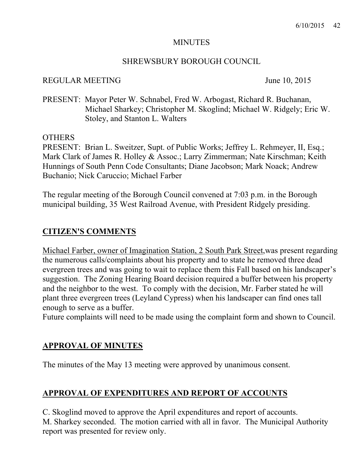### **MINUTES**

### SHREWSBURY BOROUGH COUNCIL

### REGULAR MEETING June 10, 2015

PRESENT: Mayor Peter W. Schnabel, Fred W. Arbogast, Richard R. Buchanan, Michael Sharkey; Christopher M. Skoglind; Michael W. Ridgely; Eric W. Stoley, and Stanton L. Walters

#### OTHERS

PRESENT: Brian L. Sweitzer, Supt. of Public Works; Jeffrey L. Rehmeyer, II, Esq.; Mark Clark of James R. Holley & Assoc.; Larry Zimmerman; Nate Kirschman; Keith Hunnings of South Penn Code Consultants; Diane Jacobson; Mark Noack; Andrew Buchanio; Nick Caruccio; Michael Farber

The regular meeting of the Borough Council convened at 7:03 p.m. in the Borough municipal building, 35 West Railroad Avenue, with President Ridgely presiding.

## **CITIZEN'S COMMENTS**

Michael Farber, owner of Imagination Station, 2 South Park Street,was present regarding the numerous calls/complaints about his property and to state he removed three dead evergreen trees and was going to wait to replace them this Fall based on his landscaper's suggestion. The Zoning Hearing Board decision required a buffer between his property and the neighbor to the west. To comply with the decision, Mr. Farber stated he will plant three evergreen trees (Leyland Cypress) when his landscaper can find ones tall enough to serve as a buffer.

Future complaints will need to be made using the complaint form and shown to Council.

## **APPROVAL OF MINUTES**

The minutes of the May 13 meeting were approved by unanimous consent.

## **APPROVAL OF EXPENDITURES AND REPORT OF ACCOUNTS**

C. Skoglind moved to approve the April expenditures and report of accounts. M. Sharkey seconded. The motion carried with all in favor. The Municipal Authority report was presented for review only.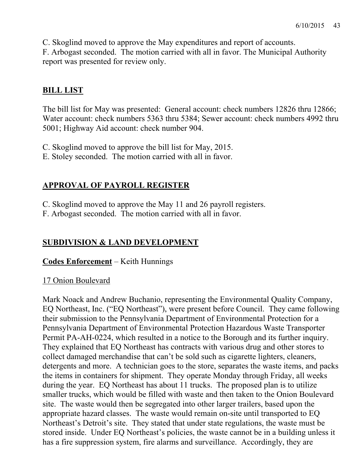C. Skoglind moved to approve the May expenditures and report of accounts.

F. Arbogast seconded. The motion carried with all in favor. The Municipal Authority report was presented for review only.

# **BILL LIST**

The bill list for May was presented: General account: check numbers 12826 thru 12866; Water account: check numbers 5363 thru 5384; Sewer account: check numbers 4992 thru 5001; Highway Aid account: check number 904.

C. Skoglind moved to approve the bill list for May, 2015.

E. Stoley seconded. The motion carried with all in favor.

# **APPROVAL OF PAYROLL REGISTER**

C. Skoglind moved to approve the May 11 and 26 payroll registers.

F. Arbogast seconded. The motion carried with all in favor.

# **SUBDIVISION & LAND DEVELOPMENT**

# **Codes Enforcement** – Keith Hunnings

# 17 Onion Boulevard

Mark Noack and Andrew Buchanio, representing the Environmental Quality Company, EQ Northeast, Inc. ("EQ Northeast"), were present before Council. They came following their submission to the Pennsylvania Department of Environmental Protection for a Pennsylvania Department of Environmental Protection Hazardous Waste Transporter Permit PA-AH-0224, which resulted in a notice to the Borough and its further inquiry. They explained that EQ Northeast has contracts with various drug and other stores to collect damaged merchandise that can't be sold such as cigarette lighters, cleaners, detergents and more. A technician goes to the store, separates the waste items, and packs the items in containers for shipment. They operate Monday through Friday, all weeks during the year. EQ Northeast has about 11 trucks. The proposed plan is to utilize smaller trucks, which would be filled with waste and then taken to the Onion Boulevard site. The waste would then be segregated into other larger trailers, based upon the appropriate hazard classes. The waste would remain on-site until transported to EQ Northeast's Detroit's site. They stated that under state regulations, the waste must be stored inside. Under EQ Northeast's policies, the waste cannot be in a building unless it has a fire suppression system, fire alarms and surveillance. Accordingly, they are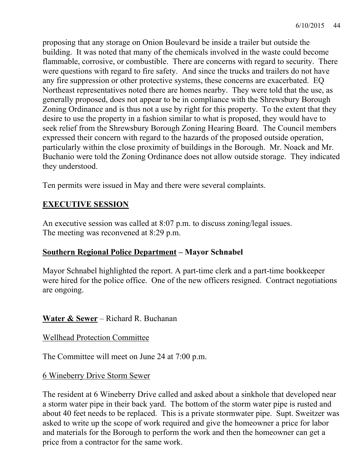proposing that any storage on Onion Boulevard be inside a trailer but outside the building. It was noted that many of the chemicals involved in the waste could become flammable, corrosive, or combustible. There are concerns with regard to security. There were questions with regard to fire safety. And since the trucks and trailers do not have any fire suppression or other protective systems, these concerns are exacerbated. EQ Northeast representatives noted there are homes nearby. They were told that the use, as generally proposed, does not appear to be in compliance with the Shrewsbury Borough Zoning Ordinance and is thus not a use by right for this property. To the extent that they desire to use the property in a fashion similar to what is proposed, they would have to seek relief from the Shrewsbury Borough Zoning Hearing Board. The Council members expressed their concern with regard to the hazards of the proposed outside operation, particularly within the close proximity of buildings in the Borough. Mr. Noack and Mr. Buchanio were told the Zoning Ordinance does not allow outside storage. They indicated they understood.

Ten permits were issued in May and there were several complaints.

# **EXECUTIVE SESSION**

An executive session was called at 8:07 p.m. to discuss zoning/legal issues. The meeting was reconvened at 8:29 p.m.

## **Southern Regional Police Department – Mayor Schnabel**

Mayor Schnabel highlighted the report. A part-time clerk and a part-time bookkeeper were hired for the police office. One of the new officers resigned. Contract negotiations are ongoing.

## **Water & Sewer** – Richard R. Buchanan

### Wellhead Protection Committee

The Committee will meet on June 24 at 7:00 p.m.

### 6 Wineberry Drive Storm Sewer

The resident at 6 Wineberry Drive called and asked about a sinkhole that developed near a storm water pipe in their back yard. The bottom of the storm water pipe is rusted and about 40 feet needs to be replaced. This is a private stormwater pipe. Supt. Sweitzer was asked to write up the scope of work required and give the homeowner a price for labor and materials for the Borough to perform the work and then the homeowner can get a price from a contractor for the same work.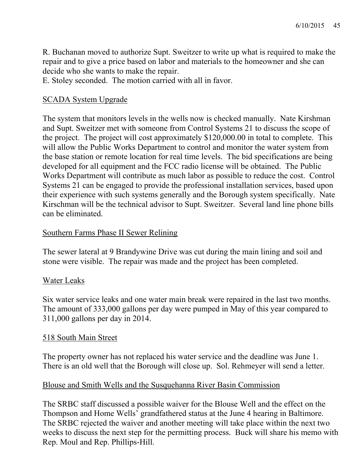R. Buchanan moved to authorize Supt. Sweitzer to write up what is required to make the repair and to give a price based on labor and materials to the homeowner and she can decide who she wants to make the repair.

E. Stoley seconded. The motion carried with all in favor.

## SCADA System Upgrade

The system that monitors levels in the wells now is checked manually. Nate Kirshman and Supt. Sweitzer met with someone from Control Systems 21 to discuss the scope of the project. The project will cost approximately \$120,000.00 in total to complete. This will allow the Public Works Department to control and monitor the water system from the base station or remote location for real time levels. The bid specifications are being developed for all equipment and the FCC radio license will be obtained. The Public Works Department will contribute as much labor as possible to reduce the cost. Control Systems 21 can be engaged to provide the professional installation services, based upon their experience with such systems generally and the Borough system specifically. Nate Kirschman will be the technical advisor to Supt. Sweitzer. Several land line phone bills can be eliminated.

## Southern Farms Phase II Sewer Relining

The sewer lateral at 9 Brandywine Drive was cut during the main lining and soil and stone were visible. The repair was made and the project has been completed.

## Water Leaks

Six water service leaks and one water main break were repaired in the last two months. The amount of 333,000 gallons per day were pumped in May of this year compared to 311,000 gallons per day in 2014.

## 518 South Main Street

The property owner has not replaced his water service and the deadline was June 1. There is an old well that the Borough will close up. Sol. Rehmeyer will send a letter.

## Blouse and Smith Wells and the Susquehanna River Basin Commission

The SRBC staff discussed a possible waiver for the Blouse Well and the effect on the Thompson and Home Wells' grandfathered status at the June 4 hearing in Baltimore. The SRBC rejected the waiver and another meeting will take place within the next two weeks to discuss the next step for the permitting process. Buck will share his memo with Rep. Moul and Rep. Phillips-Hill.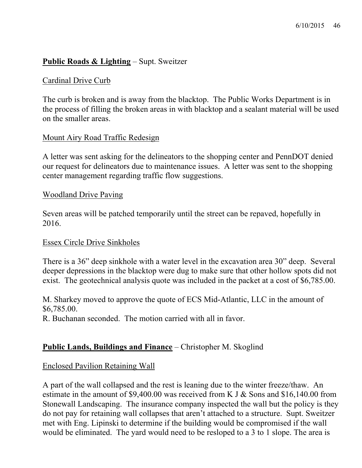## **Public Roads & Lighting** – Supt. Sweitzer

### Cardinal Drive Curb

The curb is broken and is away from the blacktop. The Public Works Department is in the process of filling the broken areas in with blacktop and a sealant material will be used on the smaller areas.

#### Mount Airy Road Traffic Redesign

A letter was sent asking for the delineators to the shopping center and PennDOT denied our request for delineators due to maintenance issues. A letter was sent to the shopping center management regarding traffic flow suggestions.

#### Woodland Drive Paving

Seven areas will be patched temporarily until the street can be repaved, hopefully in 2016.

#### Essex Circle Drive Sinkholes

There is a 36" deep sinkhole with a water level in the excavation area 30" deep. Several deeper depressions in the blacktop were dug to make sure that other hollow spots did not exist. The geotechnical analysis quote was included in the packet at a cost of \$6,785.00.

M. Sharkey moved to approve the quote of ECS Mid-Atlantic, LLC in the amount of \$6,785.00.

R. Buchanan seconded. The motion carried with all in favor.

### **Public Lands, Buildings and Finance** – Christopher M. Skoglind

#### Enclosed Pavilion Retaining Wall

A part of the wall collapsed and the rest is leaning due to the winter freeze/thaw. An estimate in the amount of \$9,400.00 was received from K J & Sons and \$16,140.00 from Stonewall Landscaping. The insurance company inspected the wall but the policy is they do not pay for retaining wall collapses that aren't attached to a structure. Supt. Sweitzer met with Eng. Lipinski to determine if the building would be compromised if the wall would be eliminated. The yard would need to be resloped to a 3 to 1 slope. The area is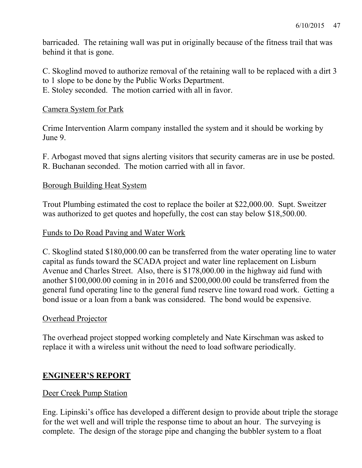barricaded. The retaining wall was put in originally because of the fitness trail that was behind it that is gone.

C. Skoglind moved to authorize removal of the retaining wall to be replaced with a dirt 3 to 1 slope to be done by the Public Works Department.

E. Stoley seconded. The motion carried with all in favor.

### Camera System for Park

Crime Intervention Alarm company installed the system and it should be working by June 9.

F. Arbogast moved that signs alerting visitors that security cameras are in use be posted. R. Buchanan seconded. The motion carried with all in favor.

### Borough Building Heat System

Trout Plumbing estimated the cost to replace the boiler at \$22,000.00. Supt. Sweitzer was authorized to get quotes and hopefully, the cost can stay below \$18,500.00.

### Funds to Do Road Paving and Water Work

C. Skoglind stated \$180,000.00 can be transferred from the water operating line to water capital as funds toward the SCADA project and water line replacement on Lisburn Avenue and Charles Street. Also, there is \$178,000.00 in the highway aid fund with another \$100,000.00 coming in in 2016 and \$200,000.00 could be transferred from the general fund operating line to the general fund reserve line toward road work. Getting a bond issue or a loan from a bank was considered. The bond would be expensive.

## Overhead Projector

The overhead project stopped working completely and Nate Kirschman was asked to replace it with a wireless unit without the need to load software periodically.

## **ENGINEER'S REPORT**

### Deer Creek Pump Station

Eng. Lipinski's office has developed a different design to provide about triple the storage for the wet well and will triple the response time to about an hour. The surveying is complete. The design of the storage pipe and changing the bubbler system to a float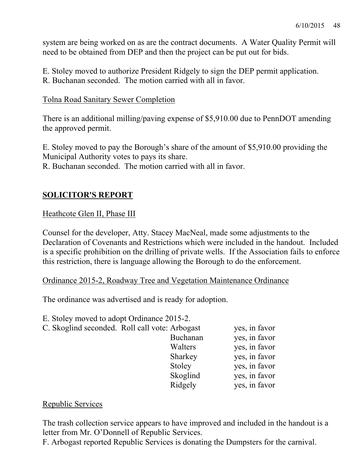system are being worked on as are the contract documents. A Water Quality Permit will need to be obtained from DEP and then the project can be put out for bids.

E. Stoley moved to authorize President Ridgely to sign the DEP permit application. R. Buchanan seconded. The motion carried with all in favor.

#### Tolna Road Sanitary Sewer Completion

There is an additional milling/paving expense of \$5,910.00 due to PennDOT amending the approved permit.

E. Stoley moved to pay the Borough's share of the amount of \$5,910.00 providing the Municipal Authority votes to pays its share.

R. Buchanan seconded. The motion carried with all in favor.

## **SOLICITOR'S REPORT**

### Heathcote Glen II, Phase III

Counsel for the developer, Atty. Stacey MacNeal, made some adjustments to the Declaration of Covenants and Restrictions which were included in the handout. Included is a specific prohibition on the drilling of private wells. If the Association fails to enforce this restriction, there is language allowing the Borough to do the enforcement.

Ordinance 2015-2, Roadway Tree and Vegetation Maintenance Ordinance

The ordinance was advertised and is ready for adoption.

E. Stoley moved to adopt Ordinance 2015-2.

| C. Skoglind seconded. Roll call vote: Arbogast |          | yes, in favor |
|------------------------------------------------|----------|---------------|
|                                                | Buchanan | yes, in favor |
|                                                | Walters  | yes, in favor |
|                                                | Sharkey  | yes, in favor |
|                                                | Stoley   | yes, in favor |
|                                                | Skoglind | yes, in favor |
|                                                | Ridgely  | yes, in favor |
|                                                |          |               |

### Republic Services

The trash collection service appears to have improved and included in the handout is a letter from Mr. O'Donnell of Republic Services.

F. Arbogast reported Republic Services is donating the Dumpsters for the carnival.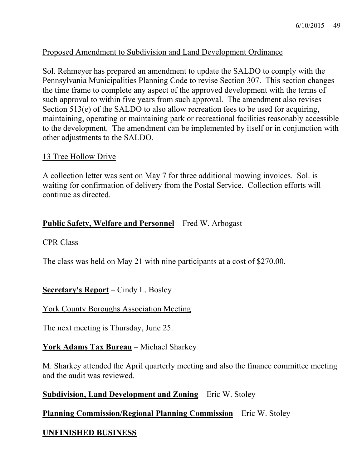### Proposed Amendment to Subdivision and Land Development Ordinance

Sol. Rehmeyer has prepared an amendment to update the SALDO to comply with the Pennsylvania Municipalities Planning Code to revise Section 307. This section changes the time frame to complete any aspect of the approved development with the terms of such approval to within five years from such approval. The amendment also revises Section 513(e) of the SALDO to also allow recreation fees to be used for acquiring, maintaining, operating or maintaining park or recreational facilities reasonably accessible to the development. The amendment can be implemented by itself or in conjunction with other adjustments to the SALDO.

### 13 Tree Hollow Drive

A collection letter was sent on May 7 for three additional mowing invoices. Sol. is waiting for confirmation of delivery from the Postal Service. Collection efforts will continue as directed.

### **Public Safety, Welfare and Personnel** – Fred W. Arbogast

#### CPR Class

The class was held on May 21 with nine participants at a cost of \$270.00.

## **Secretary's Report** – Cindy L. Bosley

### York County Boroughs Association Meeting

The next meeting is Thursday, June 25.

## **York Adams Tax Bureau** – Michael Sharkey

M. Sharkey attended the April quarterly meeting and also the finance committee meeting and the audit was reviewed.

### **Subdivision, Land Development and Zoning** – Eric W. Stoley

## **Planning Commission/Regional Planning Commission** – Eric W. Stoley

## **UNFINISHED BUSINESS**